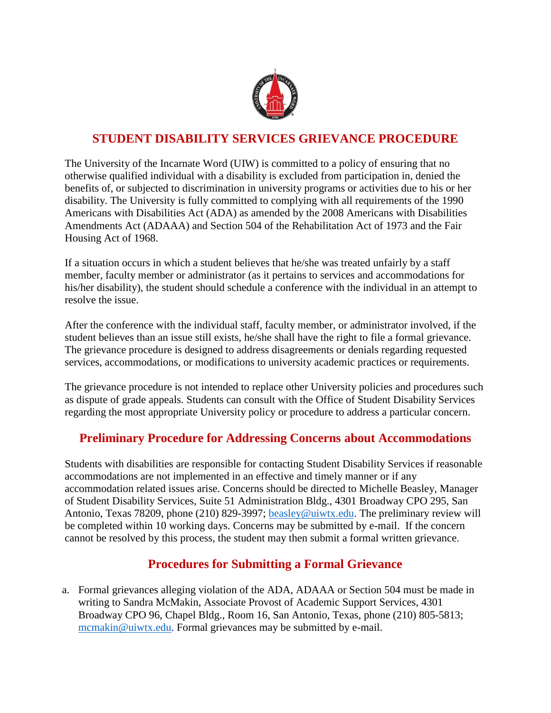

## **STUDENT DISABILITY SERVICES GRIEVANCE PROCEDURE**

The University of the Incarnate Word (UIW) is committed to a policy of ensuring that no otherwise qualified individual with a disability is excluded from participation in, denied the benefits of, or subjected to discrimination in university programs or activities due to his or her disability. The University is fully committed to complying with all requirements of the 1990 Americans with Disabilities Act (ADA) as amended by the 2008 Americans with Disabilities Amendments Act (ADAAA) and Section 504 of the Rehabilitation Act of 1973 and the Fair Housing Act of 1968.

If a situation occurs in which a student believes that he/she was treated unfairly by a staff member, faculty member or administrator (as it pertains to services and accommodations for his/her disability), the student should schedule a conference with the individual in an attempt to resolve the issue.

After the conference with the individual staff, faculty member, or administrator involved, if the student believes than an issue still exists, he/she shall have the right to file a formal grievance. The grievance procedure is designed to address disagreements or denials regarding requested services, accommodations, or modifications to university academic practices or requirements.

The grievance procedure is not intended to replace other University policies and procedures such as dispute of grade appeals. Students can consult with the Office of Student Disability Services regarding the most appropriate University policy or procedure to address a particular concern.

## **Preliminary Procedure for Addressing Concerns about Accommodations**

Students with disabilities are responsible for contacting Student Disability Services if reasonable accommodations are not implemented in an effective and timely manner or if any accommodation related issues arise. Concerns should be directed to Michelle Beasley, Manager of Student Disability Services, Suite 51 Administration Bldg., 4301 Broadway CPO 295, San Antonio, Texas 78209, phone (210) 829-3997; [beasley@uiwtx.edu.](mailto:beasley@uiwtx.edu) The preliminary review will be completed within 10 working days. Concerns may be submitted by e-mail. If the concern cannot be resolved by this process, the student may then submit a formal written grievance.

## **Procedures for Submitting a Formal Grievance**

a. Formal grievances alleging violation of the ADA, ADAAA or Section 504 must be made in writing to Sandra McMakin, Associate Provost of Academic Support Services, 4301 Broadway CPO 96, Chapel Bldg., Room 16, San Antonio, Texas, phone (210) 805-5813; [mcmakin@uiwtx.edu.](mailto:mcmakin@uiwtx.edu) Formal grievances may be submitted by e-mail.